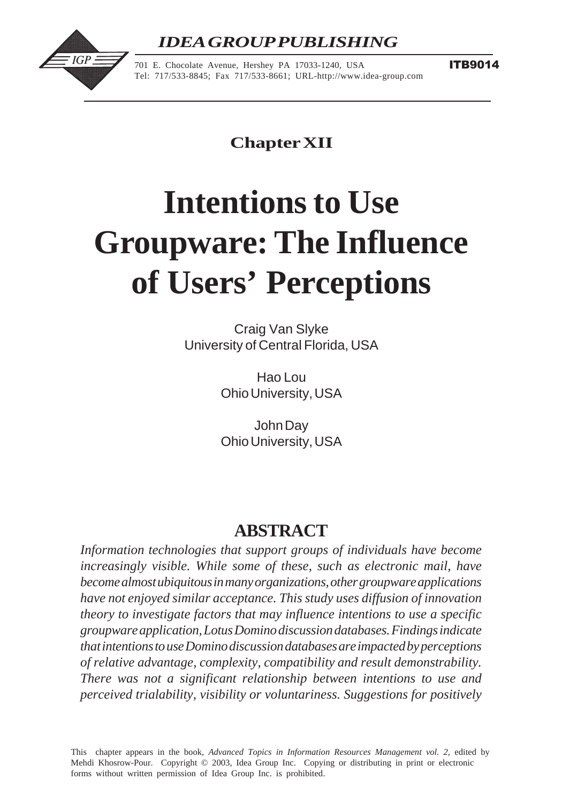# *IDEA GROUP PUBLISHING*



701 E. Chocolate Avenue, Hershey PA 17033-1240, USA Tel: 717/533-8845; Fax 717/533-8661; URL-http://www.idea-group.com **ITB9014** 

**Chapter XII**

# **Intentions to Use Groupware: The Influence of Users' Perceptions**

Craig Van Slyke University of Central Florida, USA

> Hao Lou Ohio University, USA

> John Day Ohio University, USA

# **ABSTRACT**

*Information technologies that support groups of individuals have become increasingly visible. While some of these, such as electronic mail, have become almost ubiquitous in many organizations, other groupware applications have not enjoyed similar acceptance. This study uses diffusion of innovation theory to investigate factors that may influence intentions to use a specific groupware application, Lotus Domino discussion databases. Findings indicate that intentions to use Domino discussion databases are impacted by perceptions of relative advantage, complexity, compatibility and result demonstrability. There was not a significant relationship between intentions to use and perceived trialability, visibility or voluntariness. Suggestions for positively*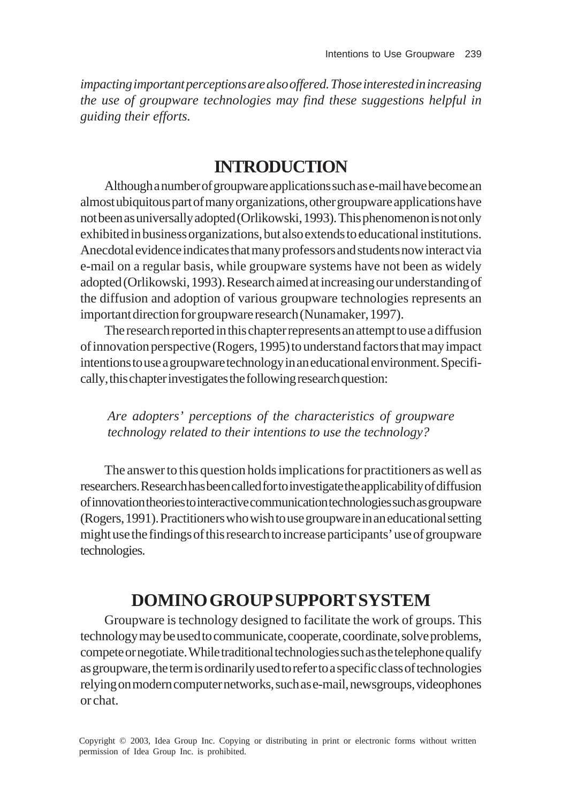*impacting important perceptions are also offered. Those interested in increasing the use of groupware technologies may find these suggestions helpful in guiding their efforts.*

## **INTRODUCTION**

Although a number of groupware applications such as e-mail have become an almost ubiquitous part of many organizations, other groupware applications have not been as universally adopted (Orlikowski, 1993). This phenomenon is not only exhibited in business organizations, but also extends to educational institutions. Anecdotal evidence indicates that many professors and students now interact via e-mail on a regular basis, while groupware systems have not been as widely adopted (Orlikowski, 1993). Research aimed at increasing our understanding of the diffusion and adoption of various groupware technologies represents an important direction for groupware research (Nunamaker, 1997).

The research reported in this chapter represents an attempt to use a diffusion of innovation perspective (Rogers, 1995) to understand factors that may impact intentions to use a groupware technology in an educational environment. Specifically, this chapter investigates the following research question:

*Are adopters' perceptions of the characteristics of groupware technology related to their intentions to use the technology?*

The answer to this question holds implications for practitioners as well as researchers. Research has been called for to investigate the applicability of diffusion of innovation theories to interactive communication technologies such as groupware (Rogers, 1991). Practitioners who wish to use groupware in an educational setting might use the findings of this research to increase participants' use of groupware technologies.

# **DOMINO GROUP SUPPORT SYSTEM**

Groupware is technology designed to facilitate the work of groups. This technology may be used to communicate, cooperate, coordinate, solve problems, compete or negotiate. While traditional technologies such as the telephone qualify as groupware, the term is ordinarily used to refer to a specific class of technologies relying on modern computer networks, such as e-mail, newsgroups, videophones or chat.